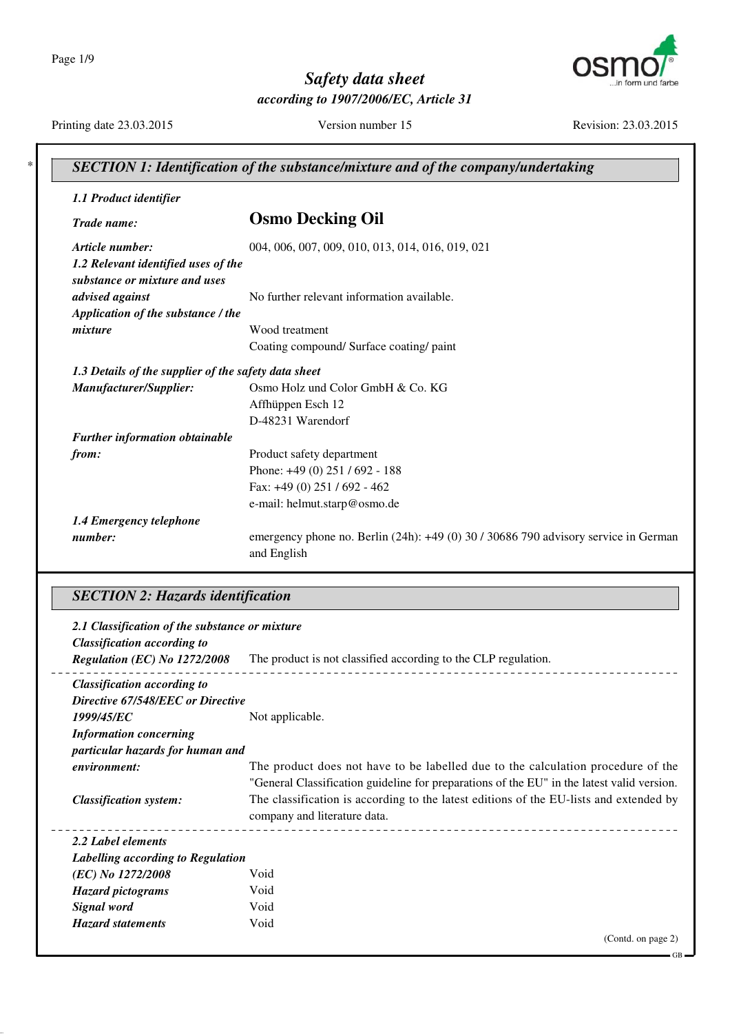Page 1/9



# *Safety data sheet according to 1907/2006/EC, Article 31*

Printing date 23.03.2015 Version number 15 Revision: 23.03.2015

GB

| 1.1 Product identifier                                               |                                                                                     |
|----------------------------------------------------------------------|-------------------------------------------------------------------------------------|
| Trade name:                                                          | <b>Osmo Decking Oil</b>                                                             |
| Article number:                                                      | 004, 006, 007, 009, 010, 013, 014, 016, 019, 021                                    |
| 1.2 Relevant identified uses of the<br>substance or mixture and uses |                                                                                     |
| advised against                                                      | No further relevant information available.                                          |
| Application of the substance / the                                   |                                                                                     |
| mixture                                                              | Wood treatment                                                                      |
|                                                                      | Coating compound/ Surface coating/ paint                                            |
| 1.3 Details of the supplier of the safety data sheet                 |                                                                                     |
| Manufacturer/Supplier:                                               | Osmo Holz und Color GmbH & Co. KG                                                   |
|                                                                      | Affhüppen Esch 12                                                                   |
|                                                                      | D-48231 Warendorf                                                                   |
| Further information obtainable                                       |                                                                                     |
| from:                                                                | Product safety department                                                           |
|                                                                      | Phone: +49 (0) 251 / 692 - 188                                                      |
|                                                                      | Fax: $+49(0)$ 251 / 692 - 462                                                       |
|                                                                      | e-mail: helmut.starp@osmo.de                                                        |
| 1.4 Emergency telephone                                              |                                                                                     |
| number:                                                              | emergency phone no. Berlin (24h): +49 (0) 30 / 30686 790 advisory service in German |

# *SECTION 2: Hazards identification*

| 2.1 Classification of the substance or mixture<br><b>Classification according to</b> |                                                                                            |
|--------------------------------------------------------------------------------------|--------------------------------------------------------------------------------------------|
| Regulation (EC) No 1272/2008                                                         | The product is not classified according to the CLP regulation.                             |
| <b>Classification according to</b>                                                   |                                                                                            |
| Directive 67/548/EEC or Directive                                                    |                                                                                            |
| 1999/45/EC                                                                           | Not applicable.                                                                            |
| <b>Information concerning</b>                                                        |                                                                                            |
| particular hazards for human and                                                     |                                                                                            |
| environment:                                                                         | The product does not have to be labelled due to the calculation procedure of the           |
|                                                                                      | "General Classification guideline for preparations of the EU" in the latest valid version. |
| <b>Classification system:</b>                                                        | The classification is according to the latest editions of the EU-lists and extended by     |
|                                                                                      | company and literature data.                                                               |
| 2.2 Label elements                                                                   |                                                                                            |
| Labelling according to Regulation                                                    |                                                                                            |
| (EC) No 1272/2008                                                                    | Void                                                                                       |
| <b>Hazard pictograms</b>                                                             | Void                                                                                       |
| Signal word                                                                          | Void                                                                                       |
| <b>Hazard statements</b>                                                             | Void                                                                                       |
|                                                                                      | (Contd. on page 2)                                                                         |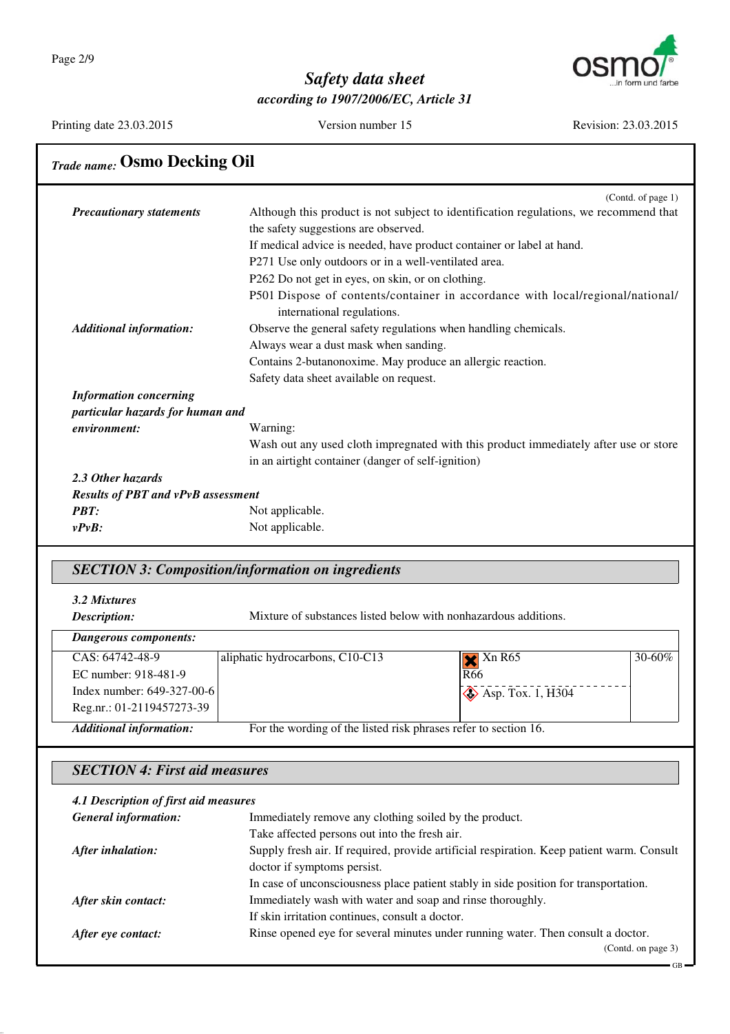

Printing date 23.03.2015 Version number 15 Revision: 23.03.2015

GB

# *Trade name:* **Osmo Decking Oil**

|                                           | (Contd. of page $1$ )                                                                 |
|-------------------------------------------|---------------------------------------------------------------------------------------|
| <b>Precautionary statements</b>           | Although this product is not subject to identification regulations, we recommend that |
|                                           | the safety suggestions are observed.                                                  |
|                                           | If medical advice is needed, have product container or label at hand.                 |
|                                           | P271 Use only outdoors or in a well-ventilated area.                                  |
|                                           | P262 Do not get in eyes, on skin, or on clothing.                                     |
|                                           | P501 Dispose of contents/container in accordance with local/regional/national/        |
|                                           | international regulations.                                                            |
| <b>Additional information:</b>            | Observe the general safety regulations when handling chemicals.                       |
|                                           | Always wear a dust mask when sanding.                                                 |
|                                           | Contains 2-butanonoxime. May produce an allergic reaction.                            |
|                                           | Safety data sheet available on request.                                               |
| <b>Information concerning</b>             |                                                                                       |
| particular hazards for human and          |                                                                                       |
| environment:                              | Warning:                                                                              |
|                                           | Wash out any used cloth impregnated with this product immediately after use or store  |
|                                           | in an airtight container (danger of self-ignition)                                    |
| 2.3 Other hazards                         |                                                                                       |
| <b>Results of PBT and vPvB assessment</b> |                                                                                       |
| <b>PBT:</b>                               | Not applicable.                                                                       |
| $v P v B$ :                               | Not applicable.                                                                       |

### *SECTION 3: Composition/information on ingredients*

| 3.2 Mixtures<br>Description:<br>Dangerous components:       | Mixture of substances listed below with nonhazardous additions. |                                                 |             |
|-------------------------------------------------------------|-----------------------------------------------------------------|-------------------------------------------------|-------------|
| CAS: 64742-48-9<br>EC number: 918-481-9                     | aliphatic hydrocarbons, C10-C13                                 | $\blacktriangleright$ Xn R65<br>R <sub>66</sub> | $30 - 60\%$ |
| Index number: 649-327-00-6                                  |                                                                 | $\diamond$ Asp. Tox. 1, H304                    |             |
| Reg.nr.: 01-2119457273-39<br><b>Additional information:</b> | For the wording of the listed risk phrases refer to section 16. |                                                 |             |

### *SECTION 4: First aid measures*

| 4.1 Description of first aid measures |                                                                                           |  |  |
|---------------------------------------|-------------------------------------------------------------------------------------------|--|--|
| <b>General information:</b>           | Immediately remove any clothing soiled by the product.                                    |  |  |
|                                       | Take affected persons out into the fresh air.                                             |  |  |
| After inhalation:                     | Supply fresh air. If required, provide artificial respiration. Keep patient warm. Consult |  |  |
|                                       | doctor if symptoms persist.                                                               |  |  |
|                                       | In case of unconsciousness place patient stably in side position for transportation.      |  |  |
| After skin contact:                   | Immediately wash with water and soap and rinse thoroughly.                                |  |  |
|                                       | If skin irritation continues, consult a doctor.                                           |  |  |
| After eye contact:                    | Rinse opened eye for several minutes under running water. Then consult a doctor.          |  |  |
|                                       | (Contd. on page 3)                                                                        |  |  |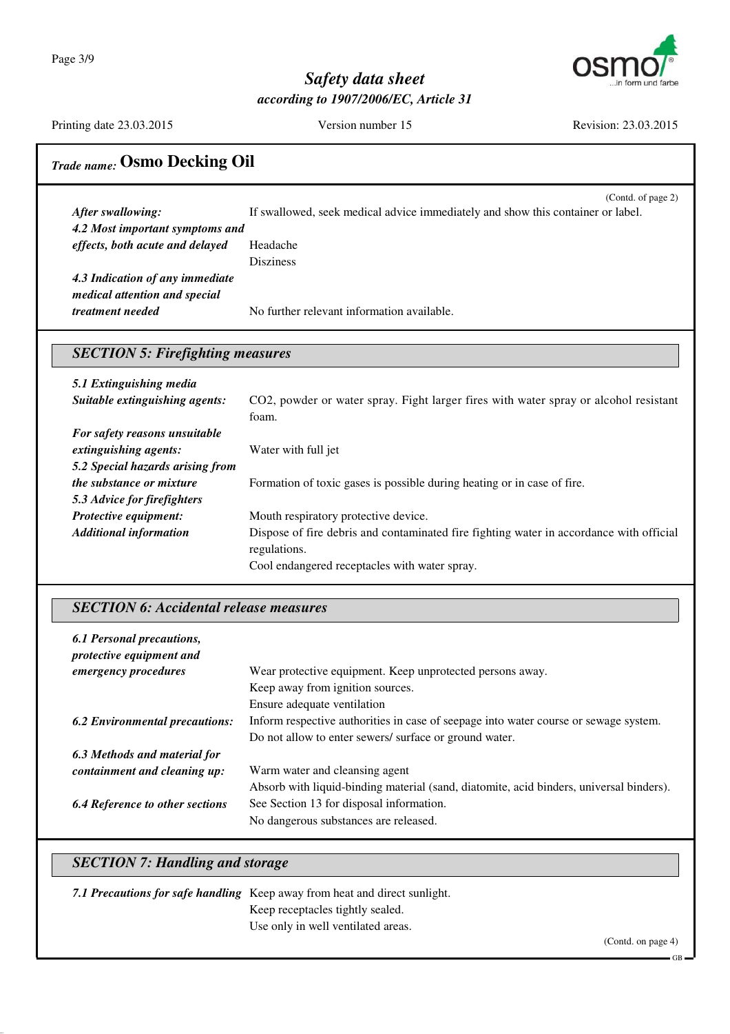

Printing date 23.03.2015 Version number 15 Revision: 23.03.2015

# *Trade name:* **Osmo Decking Oil**

|                                 | (Contd. of page 2)                                                              |
|---------------------------------|---------------------------------------------------------------------------------|
| After swallowing:               | If swallowed, seek medical advice immediately and show this container or label. |
| 4.2 Most important symptoms and |                                                                                 |
| effects, both acute and delayed | Headache                                                                        |
|                                 | <b>Disziness</b>                                                                |
| 4.3 Indication of any immediate |                                                                                 |
| medical attention and special   |                                                                                 |
| <i>treatment needed</i>         | No further relevant information available.                                      |

### *SECTION 5: Firefighting measures*

| 5.1 Extinguishing media          |                                                                                               |
|----------------------------------|-----------------------------------------------------------------------------------------------|
| Suitable extinguishing agents:   | CO2, powder or water spray. Fight larger fires with water spray or alcohol resistant<br>foam. |
| For safety reasons unsuitable    |                                                                                               |
| extinguishing agents:            | Water with full jet                                                                           |
| 5.2 Special hazards arising from |                                                                                               |
| <i>the substance or mixture</i>  | Formation of toxic gases is possible during heating or in case of fire.                       |
| 5.3 Advice for firefighters      |                                                                                               |
| Protective equipment:            | Mouth respiratory protective device.                                                          |
| <b>Additional information</b>    | Dispose of fire debris and contaminated fire fighting water in accordance with official       |
|                                  | regulations.                                                                                  |
|                                  | Cool endangered receptacles with water spray.                                                 |

### *SECTION 6: Accidental release measures*

| 6.1 Personal precautions,<br>protective equipment and |                                                                                         |
|-------------------------------------------------------|-----------------------------------------------------------------------------------------|
| <i>emergency procedures</i>                           | Wear protective equipment. Keep unprotected persons away.                               |
|                                                       | Keep away from ignition sources.                                                        |
|                                                       | Ensure adequate ventilation                                                             |
| <b>6.2 Environmental precautions:</b>                 | Inform respective authorities in case of seepage into water course or sewage system.    |
|                                                       | Do not allow to enter sewers/ surface or ground water.                                  |
| 6.3 Methods and material for                          |                                                                                         |
| containment and cleaning up:                          | Warm water and cleansing agent                                                          |
|                                                       | Absorb with liquid-binding material (sand, diatomite, acid binders, universal binders). |
| <b>6.4 Reference to other sections</b>                | See Section 13 for disposal information.                                                |
|                                                       | No dangerous substances are released.                                                   |

# *SECTION 7: Handling and storage*

| 7.1 Precautions for safe handling Keep away from heat and direct sunlight. |        |
|----------------------------------------------------------------------------|--------|
| Keep receptacles tightly sealed.                                           |        |
| Use only in well ventilated areas.                                         |        |
|                                                                            | $\sim$ |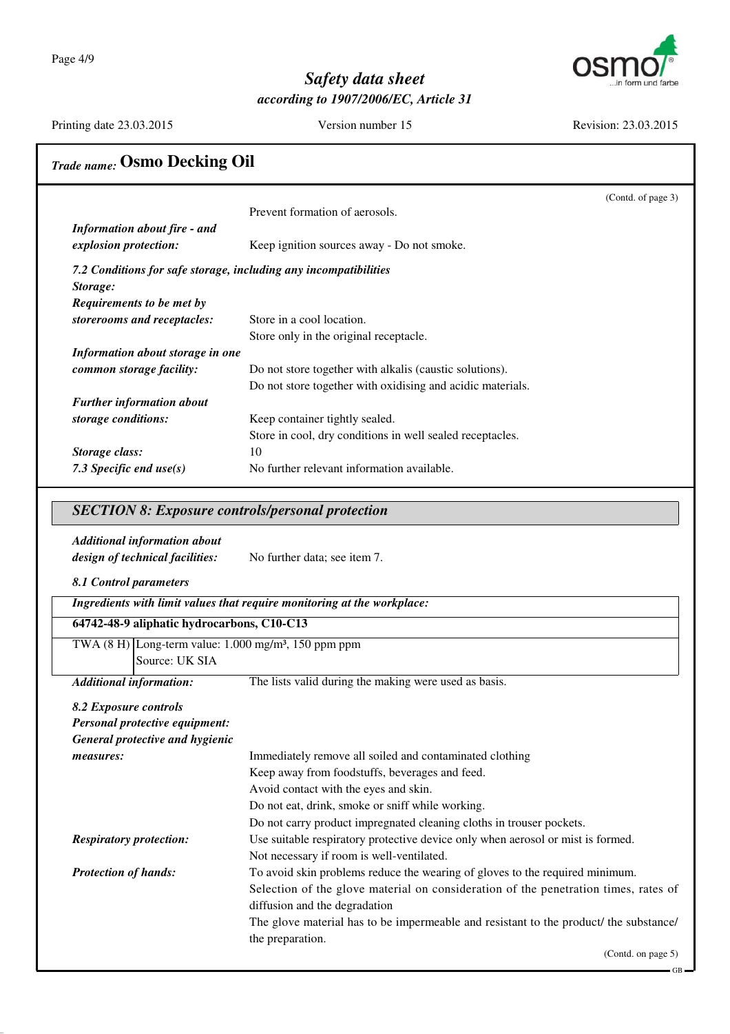Page 4/9



## *Safety data sheet according to 1907/2006/EC, Article 31*

Printing date 23.03.2015 Version number 15 Revision: 23.03.2015

# *Trade name:* **Osmo Decking Oil**

|                                                                  |                                                            | (Contd. of page 3) |
|------------------------------------------------------------------|------------------------------------------------------------|--------------------|
|                                                                  | Prevent formation of aerosols.                             |                    |
| <b>Information about fire - and</b>                              |                                                            |                    |
| explosion protection:                                            | Keep ignition sources away - Do not smoke.                 |                    |
| 7.2 Conditions for safe storage, including any incompatibilities |                                                            |                    |
| Storage:                                                         |                                                            |                    |
| Requirements to be met by                                        |                                                            |                    |
| storerooms and receptacles:                                      | Store in a cool location.                                  |                    |
|                                                                  | Store only in the original receptacle.                     |                    |
| Information about storage in one                                 |                                                            |                    |
| common storage facility:                                         | Do not store together with alkalis (caustic solutions).    |                    |
|                                                                  | Do not store together with oxidising and acidic materials. |                    |
| <b>Further information about</b>                                 |                                                            |                    |
| storage conditions:                                              | Keep container tightly sealed.                             |                    |
|                                                                  | Store in cool, dry conditions in well sealed receptacles.  |                    |
| Storage class:                                                   | 10                                                         |                    |
| 7.3 Specific end $use(s)$                                        | No further relevant information available.                 |                    |
| <b>SECTION 8: Exposure controls/personal protection</b>          |                                                            |                    |
|                                                                  |                                                            |                    |
| <b>Additional information about</b>                              |                                                            |                    |
| design of technical facilities:                                  | No further data; see item 7.                               |                    |
|                                                                  |                                                            |                    |
| 8.1 Control parameters                                           |                                                            |                    |

*Ingredients with limit values that require monitoring at the workplace:*

### **64742-48-9 aliphatic hydrocarbons, C10-C13**

TWA (8 H) Long-term value: 1.000 mg/m³, 150 ppm ppm Source: UK SIA

*Additional information:* The lists valid during the making were used as basis.

#### *8.2 Exposure controls*

| Personal protective equipment:  |                                                                                       |
|---------------------------------|---------------------------------------------------------------------------------------|
| General protective and hygienic |                                                                                       |
| measures:                       | Immediately remove all soiled and contaminated clothing                               |
|                                 | Keep away from foodstuffs, beverages and feed.                                        |
|                                 | Avoid contact with the eyes and skin.                                                 |
|                                 | Do not eat, drink, smoke or sniff while working.                                      |
|                                 | Do not carry product impregnated cleaning cloths in trouser pockets.                  |
| <b>Respiratory protection:</b>  | Use suitable respiratory protective device only when aerosol or mist is formed.       |
|                                 | Not necessary if room is well-ventilated.                                             |
| <b>Protection of hands:</b>     | To avoid skin problems reduce the wearing of gloves to the required minimum.          |
|                                 | Selection of the glove material on consideration of the penetration times, rates of   |
|                                 | diffusion and the degradation                                                         |
|                                 | The glove material has to be impermeable and resistant to the product/ the substance/ |
|                                 | the preparation.                                                                      |
|                                 | $(Cond \text{ on } \text{pose } 5)$                                                   |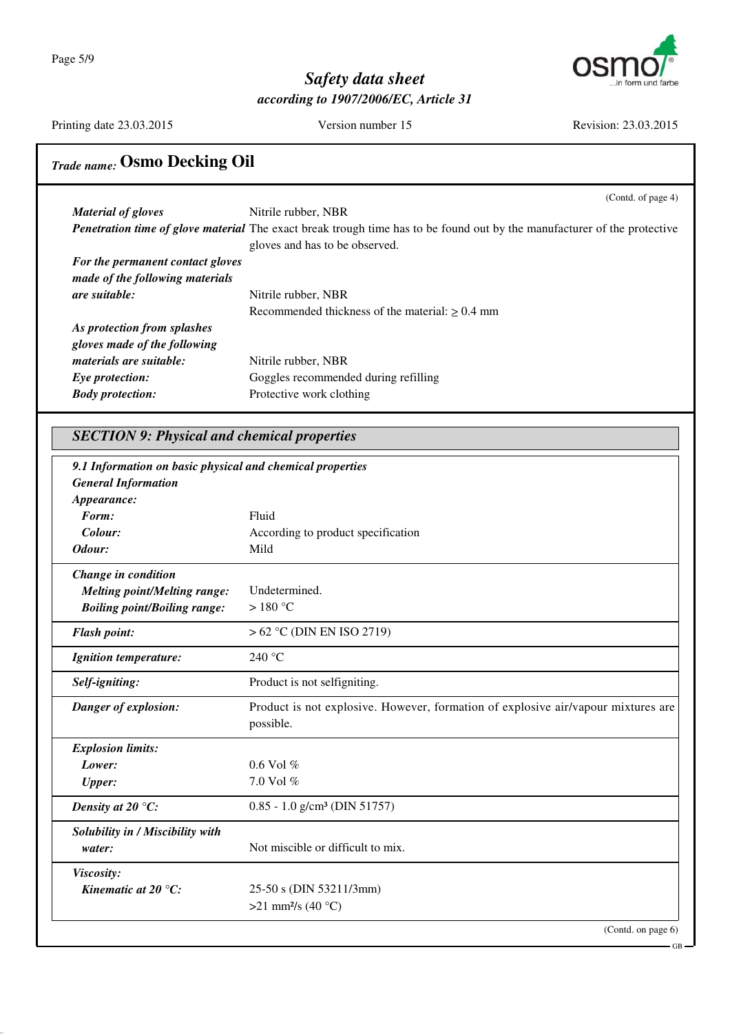Page 5/9



# *Safety data sheet according to 1907/2006/EC, Article 31*

Printing date 23.03.2015 Version number 15 Revision: 23.03.2015

# *Trade name:* **Osmo Decking Oil**

|                                  | (Contd. of page 4)                                                                                                              |
|----------------------------------|---------------------------------------------------------------------------------------------------------------------------------|
| <b>Material of gloves</b>        | Nitrile rubber, NBR                                                                                                             |
|                                  | <b>Penetration time of glove material</b> The exact break trough time has to be found out by the manufacturer of the protective |
|                                  | gloves and has to be observed.                                                                                                  |
| For the permanent contact gloves |                                                                                                                                 |
| made of the following materials  |                                                                                                                                 |
| <i>are suitable:</i>             | Nitrile rubber, NBR                                                                                                             |
|                                  | Recommended thickness of the material: $\geq 0.4$ mm                                                                            |
| As protection from splashes      |                                                                                                                                 |
| gloves made of the following     |                                                                                                                                 |
| materials are suitable:          | Nitrile rubber, NBR                                                                                                             |
| Eye protection:                  | Goggles recommended during refilling                                                                                            |
| <b>Body protection:</b>          | Protective work clothing                                                                                                        |

| 9.1 Information on basic physical and chemical properties<br><b>General Information</b> |                                                                                                |
|-----------------------------------------------------------------------------------------|------------------------------------------------------------------------------------------------|
| Appearance:                                                                             |                                                                                                |
| Form:                                                                                   | Fluid                                                                                          |
| Colour:                                                                                 | According to product specification                                                             |
| Odour:                                                                                  | Mild                                                                                           |
| Change in condition                                                                     |                                                                                                |
| <b>Melting point/Melting range:</b>                                                     | Undetermined.                                                                                  |
| <b>Boiling point/Boiling range:</b>                                                     | $>180^{\circ}$ C                                                                               |
| <b>Flash point:</b>                                                                     | $> 62$ °C (DIN EN ISO 2719)                                                                    |
| Ignition temperature:                                                                   | 240 °C                                                                                         |
| Self-igniting:                                                                          | Product is not selfigniting.                                                                   |
| Danger of explosion:                                                                    | Product is not explosive. However, formation of explosive air/vapour mixtures are<br>possible. |
| <b>Explosion limits:</b>                                                                |                                                                                                |
| Lower:                                                                                  | $0.6$ Vol $%$                                                                                  |
| <b>Upper:</b>                                                                           | $7.0$ Vol $%$                                                                                  |
| Density at 20 $\degree$ C:                                                              | $0.85 - 1.0$ g/cm <sup>3</sup> (DIN 51757)                                                     |
| Solubility in / Miscibility with                                                        |                                                                                                |
| water:                                                                                  | Not miscible or difficult to mix.                                                              |
| Viscosity:                                                                              |                                                                                                |
| Kinematic at $20^{\circ}$ C:                                                            | 25-50 s (DIN 53211/3mm)                                                                        |
|                                                                                         | >21 mm <sup>2</sup> /s (40 °C)                                                                 |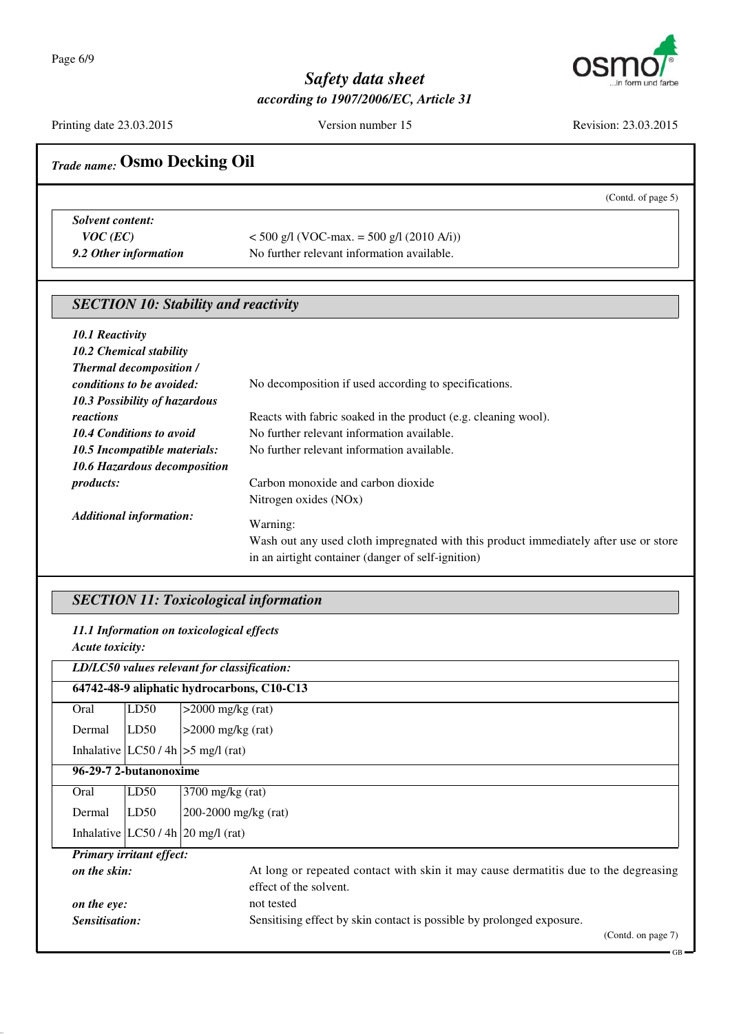

Printing date 23.03.2015 Version number 15 Revision: 23.03.2015

# *Trade name:* **Osmo Decking Oil** (Contd. of page 5) *Solvent content: VOC* (*EC*)  $<$  500 g/l (VOC-max. = 500 g/l (2010 A/i)) **9.2 Other information** No further relevant information available. *SECTION 10: Stability and reactivity 10.1 Reactivity 10.2 Chemical stability Thermal decomposition / conditions to be avoided:* No decomposition if used according to specifications. *10.3 Possibility of hazardous reactions* Reacts with fabric soaked in the product (e.g. cleaning wool). 10.4 Conditions to avoid No further relevant information available. 10.5 Incompatible materials: No further relevant information available. *10.6 Hazardous decomposition products:* Carbon monoxide and carbon dioxide Nitrogen oxides (NOx) *Additional information:* Warning: Wash out any used cloth impregnated with this product immediately after use or store in an airtight container (danger of self-ignition)

### *SECTION 11: Toxicological information*

*11.1 Information on toxicological effects*

|                                            | Acute toxicity:                             |                                                                                     |  |  |  |
|--------------------------------------------|---------------------------------------------|-------------------------------------------------------------------------------------|--|--|--|
|                                            | LD/LC50 values relevant for classification: |                                                                                     |  |  |  |
| 64742-48-9 aliphatic hydrocarbons, C10-C13 |                                             |                                                                                     |  |  |  |
| Oral                                       | LD50                                        | $>2000$ mg/kg (rat)                                                                 |  |  |  |
| Dermal                                     | LD50                                        | $>2000$ mg/kg (rat)                                                                 |  |  |  |
|                                            |                                             | Inhalative $ LC50/4h  > 5$ mg/l (rat)                                               |  |  |  |
| 96-29-7 2-butanonoxime                     |                                             |                                                                                     |  |  |  |
| Oral                                       | LD50                                        | $3700$ mg/kg (rat)                                                                  |  |  |  |
| Dermal                                     | LD50                                        | 200-2000 mg/kg $(rat)$                                                              |  |  |  |
|                                            |                                             | Inhalative $ LC50/4h 20$ mg/l (rat)                                                 |  |  |  |
|                                            | <b>Primary irritant effect:</b>             |                                                                                     |  |  |  |
| on the skin:                               |                                             | At long or repeated contact with skin it may cause dermatitis due to the degreasing |  |  |  |
|                                            |                                             | effect of the solvent.                                                              |  |  |  |
| on the eye:                                |                                             | not tested                                                                          |  |  |  |
|                                            | Sensitisation:                              | Sensitising effect by skin contact is possible by prolonged exposure.               |  |  |  |

(Contd. on page 7)

GB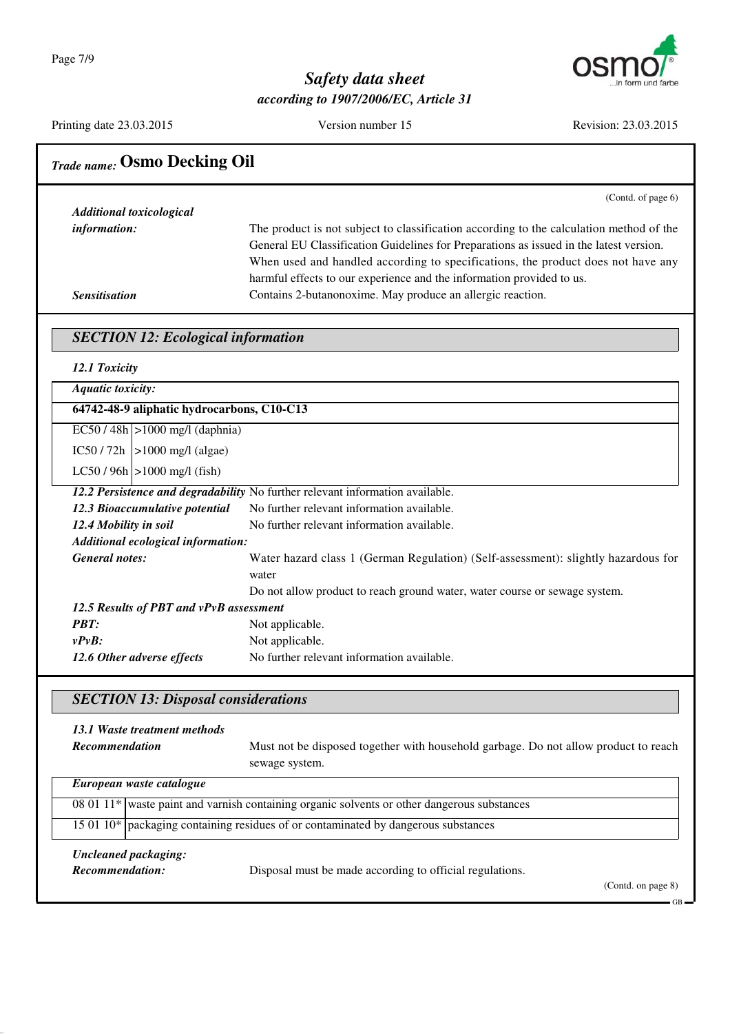

Printing date 23.03.2015 Version number 15 Revision: 23.03.2015

| <b>Trade name: Osmo Decking Oil</b>                                                         |                                                                                                                                                                                                                                                                                                                                                                                                              |  |
|---------------------------------------------------------------------------------------------|--------------------------------------------------------------------------------------------------------------------------------------------------------------------------------------------------------------------------------------------------------------------------------------------------------------------------------------------------------------------------------------------------------------|--|
|                                                                                             | (Contd. of page 6)                                                                                                                                                                                                                                                                                                                                                                                           |  |
| <b>Additional toxicological</b><br>information:<br><b>Sensitisation</b>                     | The product is not subject to classification according to the calculation method of the<br>General EU Classification Guidelines for Preparations as issued in the latest version.<br>When used and handled according to specifications, the product does not have any<br>harmful effects to our experience and the information provided to us.<br>Contains 2-butanonoxime. May produce an allergic reaction. |  |
| <b>SECTION 12: Ecological information</b>                                                   |                                                                                                                                                                                                                                                                                                                                                                                                              |  |
| 12.1 Toxicity                                                                               |                                                                                                                                                                                                                                                                                                                                                                                                              |  |
| <b>Aquatic toxicity:</b>                                                                    |                                                                                                                                                                                                                                                                                                                                                                                                              |  |
| 64742-48-9 aliphatic hydrocarbons, C10-C13                                                  |                                                                                                                                                                                                                                                                                                                                                                                                              |  |
| $EC50 / 48h$ >1000 mg/l (daphnia)                                                           |                                                                                                                                                                                                                                                                                                                                                                                                              |  |
| $IC50 / 72h$  >1000 mg/l (algae)                                                            |                                                                                                                                                                                                                                                                                                                                                                                                              |  |
| $LC50 / 96h$ > 1000 mg/l (fish)                                                             |                                                                                                                                                                                                                                                                                                                                                                                                              |  |
|                                                                                             | 12.2 Persistence and degradability No further relevant information available.                                                                                                                                                                                                                                                                                                                                |  |
| 12.3 Bioaccumulative potential                                                              | No further relevant information available.                                                                                                                                                                                                                                                                                                                                                                   |  |
| 12.4 Mobility in soil                                                                       | No further relevant information available.                                                                                                                                                                                                                                                                                                                                                                   |  |
| Additional ecological information:                                                          |                                                                                                                                                                                                                                                                                                                                                                                                              |  |
| <b>General notes:</b>                                                                       | Water hazard class 1 (German Regulation) (Self-assessment): slightly hazardous for                                                                                                                                                                                                                                                                                                                           |  |
|                                                                                             | water                                                                                                                                                                                                                                                                                                                                                                                                        |  |
| 12.5 Results of PBT and vPvB assessment                                                     | Do not allow product to reach ground water, water course or sewage system.                                                                                                                                                                                                                                                                                                                                   |  |
| <b>PBT:</b>                                                                                 | Not applicable.                                                                                                                                                                                                                                                                                                                                                                                              |  |
| vPvB:                                                                                       | Not applicable.                                                                                                                                                                                                                                                                                                                                                                                              |  |
| 12.6 Other adverse effects                                                                  | No further relevant information available.                                                                                                                                                                                                                                                                                                                                                                   |  |
|                                                                                             |                                                                                                                                                                                                                                                                                                                                                                                                              |  |
| <b>SECTION 13: Disposal considerations</b>                                                  |                                                                                                                                                                                                                                                                                                                                                                                                              |  |
| 13.1 Waste treatment methods                                                                |                                                                                                                                                                                                                                                                                                                                                                                                              |  |
| <b>Recommendation</b>                                                                       | Must not be disposed together with household garbage. Do not allow product to reach                                                                                                                                                                                                                                                                                                                          |  |
|                                                                                             | sewage system.                                                                                                                                                                                                                                                                                                                                                                                               |  |
| European waste catalogue                                                                    |                                                                                                                                                                                                                                                                                                                                                                                                              |  |
| 08 01 11* waste paint and varnish containing organic solvents or other dangerous substances |                                                                                                                                                                                                                                                                                                                                                                                                              |  |
|                                                                                             | 15 01 10* packaging containing residues of or contaminated by dangerous substances                                                                                                                                                                                                                                                                                                                           |  |
| <b>Uncleaned packaging:</b>                                                                 |                                                                                                                                                                                                                                                                                                                                                                                                              |  |
| Recommendation:                                                                             | Disposal must be made according to official regulations.                                                                                                                                                                                                                                                                                                                                                     |  |
|                                                                                             | (Contd. on page 8)                                                                                                                                                                                                                                                                                                                                                                                           |  |
|                                                                                             |                                                                                                                                                                                                                                                                                                                                                                                                              |  |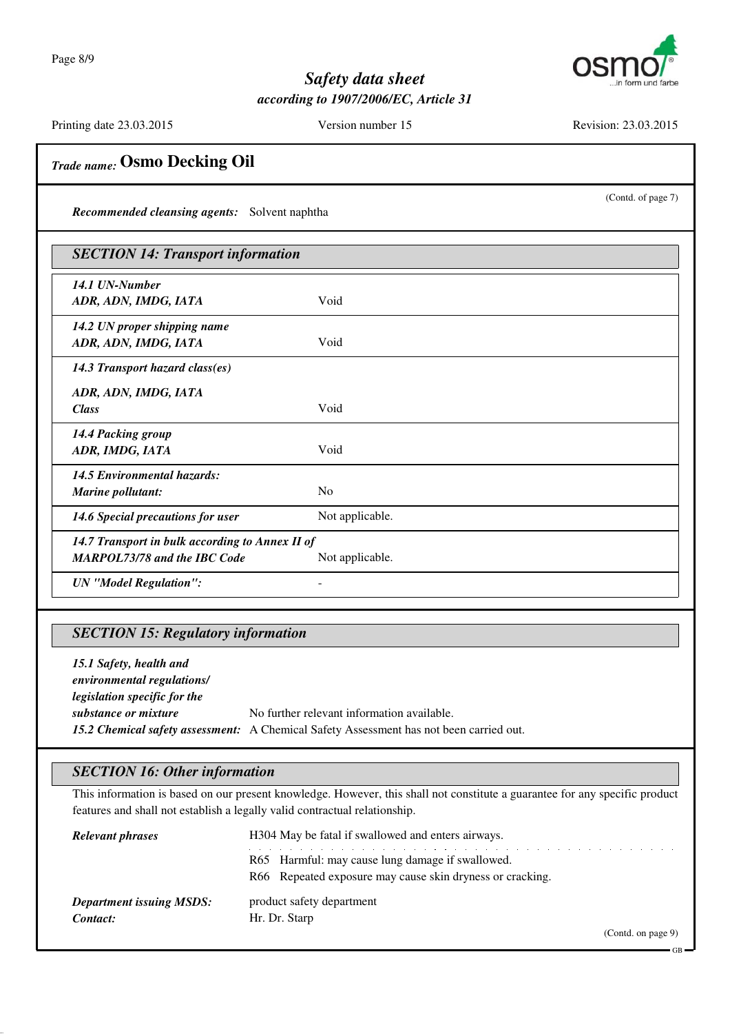

Printing date 23.03.2015 Version number 15 Revision: 23.03.2015

(Contd. of page 7)

# *Trade name:* **Osmo Decking Oil**

*Recommended cleansing agents:* Solvent naphtha

| <b>SECTION 14: Transport information</b>        |                 |  |
|-------------------------------------------------|-----------------|--|
| 14.1 UN-Number                                  |                 |  |
| ADR, ADN, IMDG, IATA                            | Void            |  |
| 14.2 UN proper shipping name                    |                 |  |
| ADR, ADN, IMDG, IATA                            | Void            |  |
| 14.3 Transport hazard class(es)                 |                 |  |
| ADR, ADN, IMDG, IATA                            |                 |  |
| <b>Class</b>                                    | Void            |  |
| 14.4 Packing group                              |                 |  |
| ADR, IMDG, IATA                                 | Void            |  |
| <b>14.5 Environmental hazards:</b>              |                 |  |
| Marine pollutant:                               | N <sub>o</sub>  |  |
| 14.6 Special precautions for user               | Not applicable. |  |
| 14.7 Transport in bulk according to Annex II of |                 |  |
| <b>MARPOL73/78 and the IBC Code</b>             | Not applicable. |  |
| <b>UN</b> "Model Regulation":                   |                 |  |

### *SECTION 15: Regulatory information*

*15.1 Safety, health and environmental regulations/ legislation specific for the substance or mixture* No further relevant information available. *15.2 Chemical safety assessment:* A Chemical Safety Assessment has not been carried out.

### *SECTION 16: Other information*

This information is based on our present knowledge. However, this shall not constitute a guarantee for any specific product features and shall not establish a legally valid contractual relationship.

| <b>Relevant phrases</b>                     | H304 May be fatal if swallowed and enters airways.        |
|---------------------------------------------|-----------------------------------------------------------|
|                                             | R65 Harmful: may cause lung damage if swallowed.          |
|                                             | R66 Repeated exposure may cause skin dryness or cracking. |
| <b>Department issuing MSDS:</b><br>Contact: | product safety department<br>Hr. Dr. Starp                |

(Contd. on page 9)

GB